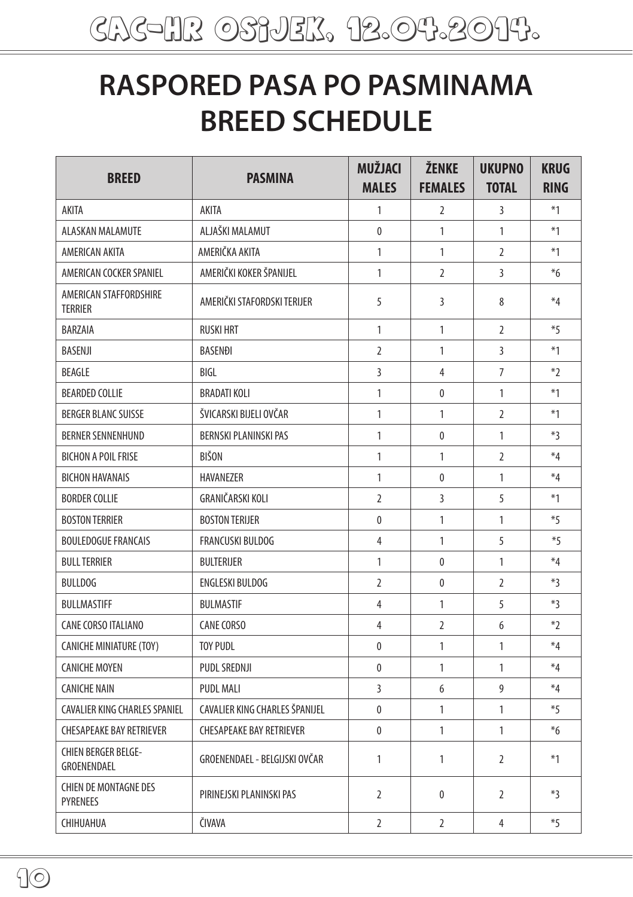## **RASPORED PASA PO PASMINAMA BREED SCHEDULE**

| <b>BREED</b>                                    | <b>PASMINA</b>                  | <b>MUŽJACI</b><br><b>MALES</b> | ŽENKE<br><b>FEMALES</b> | <b>UKUPNO</b><br><b>TOTAL</b> | <b>KRUG</b><br><b>RING</b> |
|-------------------------------------------------|---------------------------------|--------------------------------|-------------------------|-------------------------------|----------------------------|
| AKITA                                           | AKITA                           | 1                              | $\overline{2}$          | 3                             | $*1$                       |
| ALASKAN MALAMUTE                                | ALJAŠKI MALAMUT                 | $\mathbf{0}$                   | $\mathbf{1}$            | 1                             | $*1$                       |
| AMERICAN AKITA                                  | AMERIČKA AKITA                  | $\mathbf{1}$                   | 1                       | $\overline{2}$                | $*1$                       |
| AMERICAN COCKER SPANIEL                         | AMERIČKI KOKER ŠPANIJEL         | $\mathbf{1}$                   | $\overline{2}$          | $\overline{3}$                | $*6$                       |
| AMERICAN STAFFORDSHIRE<br><b>TERRIER</b>        | AMERIČKI STAFORDSKI TERIJER     | 5                              | 3                       | 8                             | $*_{4}$                    |
| BARZAIA                                         | <b>RUSKI HRT</b>                | $\mathbf{1}$                   | 1                       | $\overline{2}$                | $*5$                       |
| <b>BASENJI</b>                                  | <b>BASENDI</b>                  | $\overline{2}$                 | 1                       | 3                             | $*1$                       |
| <b>BEAGLE</b>                                   | BIGL                            | $\overline{3}$                 | 4                       | $\overline{7}$                | $*2$                       |
| <b>BEARDED COLLIE</b>                           | <b>BRADATI KOLI</b>             | $\mathbf{1}$                   | $\mathbf{0}$            | 1                             | $*1$                       |
| <b>BERGER BLANC SUISSE</b>                      | ŠVICARSKI BIJELI OVČAR          | $\mathbf{1}$                   | 1                       | $\overline{2}$                | $*1$                       |
| <b>BERNER SENNENHUND</b>                        | <b>BERNSKI PLANINSKI PAS</b>    | 1                              | 0                       | 1                             | $*3$                       |
| <b>BICHON A POIL FRISE</b>                      | <b>BIŠON</b>                    | 1                              | 1                       | 2                             | $*4$                       |
| <b>BICHON HAVANAIS</b>                          | <b>HAVANEZER</b>                | $\mathbf{1}$                   | $\mathbf{0}$            | 1                             | $*4$                       |
| <b>BORDER COLLIE</b>                            | GRANIČARSKI KOLI                | $\overline{2}$                 | $\overline{3}$          | 5                             | $*1$                       |
| <b>BOSTON TERRIER</b>                           | <b>BOSTON TERIJER</b>           | $\mathbf{0}$                   | 1                       | 1                             | $*5$                       |
| <b>BOULEDOGUE FRANCAIS</b>                      | <b>FRANCUSKI BULDOG</b>         | $\overline{4}$                 | 1                       | 5                             | $*5$                       |
| <b>BULL TERRIER</b>                             | <b>BULTERIJER</b>               | $\mathbf{1}$                   | $\mathbf{0}$            | $\mathbf{1}$                  | $*4$                       |
| <b>BULLDOG</b>                                  | ENGLESKI BULDOG                 | $\overline{2}$                 | 0                       | 2                             | $*3$                       |
| <b>BULLMASTIFF</b>                              | <b>BULMASTIF</b>                | $\overline{4}$                 | 1                       | 5                             | $*3$                       |
| CANE CORSO ITALIANO                             | CANE CORSO                      | 4                              | $\overline{2}$          | 6                             | $*2$                       |
| <b>CANICHE MINIATURE (TOY)</b>                  | <b>TOY PUDL</b>                 | $\mathbf{0}$                   | 1                       | 1                             | $*4$                       |
| <b>CANICHE MOYEN</b>                            | PUDL SREDNJI                    | $\mathbf{0}$                   | 1                       | $\mathbf{1}$                  | $*4$                       |
| <b>CANICHE NAIN</b>                             | <b>PUDL MALI</b>                | $\overline{3}$                 | 6                       | 9                             | $*4$                       |
| <b>CAVALIER KING CHARLES SPANIEL</b>            | CAVALIER KING CHARLES ŠPANIJEL  | $\mathbf{0}$                   | 1                       | 1                             | *5                         |
| <b>CHESAPEAKE BAY RETRIEVER</b>                 | <b>CHESAPEAKE BAY RETRIEVER</b> | 0                              | 1                       | 1                             | $*_{6}$                    |
| <b>CHIEN BERGER BELGE-</b><br>GROENENDAEL       | GROENENDAEL - BELGIJSKI OVČAR   | $\mathbf{1}$                   | 1                       | $\overline{2}$                | $*1$                       |
| <b>CHIEN DE MONTAGNE DES</b><br><b>PYRENEES</b> | PIRINEJSKI PLANINSKI PAS        | $\overline{2}$                 | $\bf{0}$                | $\overline{2}$                | $*3$                       |
| CHIHUAHUA                                       | ČIVAVA                          | $\overline{2}$                 | $\overline{2}$          | 4                             | $*5$                       |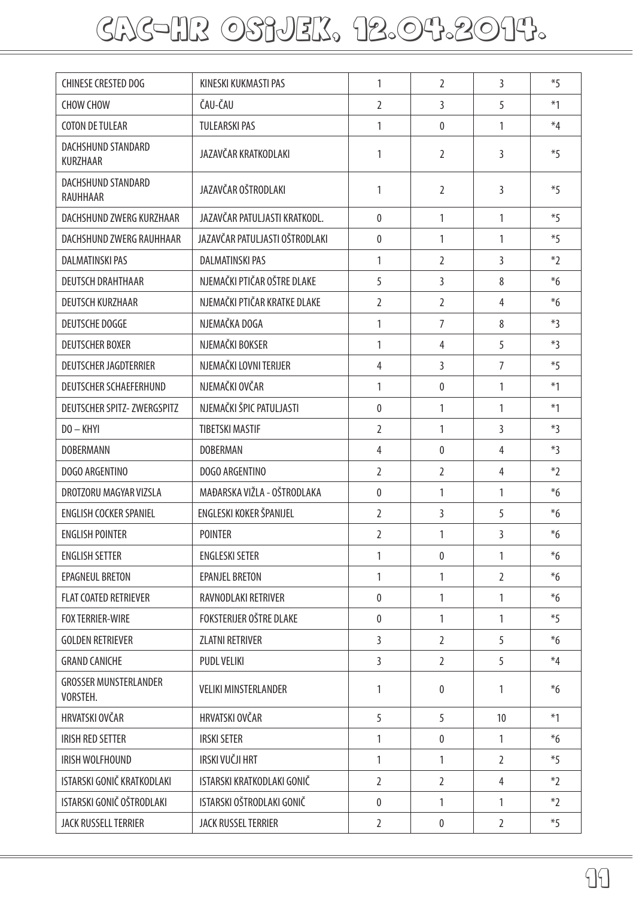## cac-hr OSIJEK, 12.04.2014.

| <b>CHINESE CRESTED DOG</b>               | KINESKI KUKMASTI PAS           | 1              | 2              | 3              | $*5$    |
|------------------------------------------|--------------------------------|----------------|----------------|----------------|---------|
| <b>CHOW CHOW</b>                         | ČAU-ČAU                        | $\overline{2}$ | 3              | 5              | $*1$    |
| <b>COTON DE TULEAR</b>                   | <b>TULEARSKI PAS</b>           | 1              | $\overline{0}$ | $\mathbf{1}$   | $*4$    |
| DACHSHUND STANDARD<br>KURZHAAR           | JAZAVČAR KRATKODLAKI           | 1              | $\mathcal{L}$  | 3              | $*5$    |
| DACHSHUND STANDARD<br>RAUHHAAR           | JAZAVČAR OŠTRODLAKI            | $\mathbf{1}$   | $\overline{2}$ | 3              | $*5$    |
| DACHSHUND ZWERG KURZHAAR                 | JAZAVČAR PATULJASTI KRATKODL.  | $\mathbf{0}$   | $\mathbf{1}$   | $\mathbf{1}$   | $*5$    |
| DACHSHUND ZWERG RAUHHAAR                 | JAZAVČAR PATULJASTI OŠTRODLAKI | $\mathbf{0}$   | $\mathbf{1}$   | $\mathbf{1}$   | $*5$    |
| <b>DALMATINSKI PAS</b>                   | <b>DALMATINSKI PAS</b>         | 1              | $\overline{2}$ | 3              | $*2$    |
| <b>DEUTSCH DRAHTHAAR</b>                 | NJEMAČKI PTIČAR OŠTRE DLAKE    | 5              | 3              | 8              | $*6$    |
| DEUTSCH KURZHAAR                         | NJEMAČKI PTIČAR KRATKE DLAKE   | $\overline{2}$ | $\overline{2}$ | $\overline{4}$ | $*_{6}$ |
| <b>DEUTSCHE DOGGE</b>                    | NJEMAČKA DOGA                  | 1              | $\overline{7}$ | 8              | $*3$    |
| <b>DEUTSCHER BOXER</b>                   | NJEMAČKI BOKSER                | 1              | $\overline{4}$ | 5              | $*3$    |
| <b>DEUTSCHER JAGDTERRIER</b>             | NJEMAČKI LOVNI TERIJER         | $\overline{4}$ | $\overline{3}$ | $\overline{7}$ | $*5$    |
| <b>DEUTSCHER SCHAEFERHUND</b>            | NJEMAČKI OVČAR                 | 1              | $\mathbf{0}$   | $\mathbf{1}$   | $*1$    |
| <b>DEUTSCHER SPITZ- ZWERGSPITZ</b>       | NJEMAČKI ŠPIC PATULJASTI       | $\mathbf{0}$   | $\mathbf{1}$   | $\mathbf{1}$   | $*1$    |
| $DO - KHYI$                              | <b>TIBETSKI MASTIF</b>         | $\overline{2}$ | 1              | 3              | *3      |
| <b>DOBERMANN</b>                         | <b>DOBERMAN</b>                | 4              | $\mathbf{0}$   | 4              | $*3$    |
| DOGO ARGENTINO                           | DOGO ARGENTINO                 | $\overline{2}$ | $\overline{2}$ | 4              | $*2$    |
| DROTZORU MAGYAR VIZSLA                   | MAĐARSKA VIŽLA - OŠTRODLAKA    | 0              | 1              | $\mathbf{1}$   | $*_{6}$ |
| <b>ENGLISH COCKER SPANIEL</b>            | ENGLESKI KOKER ŠPANIJEL        | $\overline{2}$ | 3              | 5              | $*_{6}$ |
| <b>ENGLISH POINTER</b>                   | <b>POINTER</b>                 | $\overline{2}$ | $\mathbf{1}$   | 3              | $*_{6}$ |
| <b>ENGLISH SETTER</b>                    | <b>ENGLESKI SETER</b>          | 1              | $\mathbf{0}$   | 1              | $*_{6}$ |
| EPAGNEUL BRETON                          | <b>EPANJEL BRETON</b>          | $\mathbf{1}$   | $\mathbf{1}$   | $\overline{2}$ | $*6$    |
| <b>FLAT COATED RETRIEVER</b>             | RAVNODLAKI RETRIVER            | 0              | $\mathbf{1}$   | 1              | $*_{6}$ |
| <b>FOX TERRIER-WIRE</b>                  | FOKSTERIJER OŠTRE DLAKE        | 0              | 1              | 1              | $*5$    |
| <b>GOLDEN RETRIEVER</b>                  | <b>ZLATNI RETRIVER</b>         | $\overline{3}$ | $\overline{2}$ | 5              | $*6$    |
| <b>GRAND CANICHE</b>                     | <b>PUDL VELIKI</b>             | 3              | $\overline{2}$ | 5              | $*4$    |
| <b>GROSSER MUNSTERLANDER</b><br>VORSTEH. | <b>VELIKI MINSTERLANDER</b>    | $\mathbf{1}$   | 0              | 1              | $*6$    |
| HRVATSKI OVČAR                           | HRVATSKI OVČAR                 | 5              | 5              | 10             | $*1$    |
| <b>IRISH RED SETTER</b>                  | <b>IRSKI SETER</b>             | 1              | $\mathbf{0}$   | 1              | $*6$    |
| IRISH WOLFHOUND                          | IRSKI VUČJI HRT                | $\mathbf{1}$   | 1              | $\overline{2}$ | $*5$    |
| ISTARSKI GONIČ KRATKODLAKI               | ISTARSKI KRATKODLAKI GONIČ     | $\overline{2}$ | $\overline{2}$ | 4              | $*2$    |
| ISTARSKI GONIČ OŠTRODLAKI                | ISTARSKI OŠTRODLAKI GONIČ      | 0              | $\mathbf{1}$   | 1              | $*2$    |
| JACK RUSSELL TERRIER                     | JACK RUSSEL TERRIER            | $\overline{2}$ | 0              | $\overline{2}$ | $*5$    |